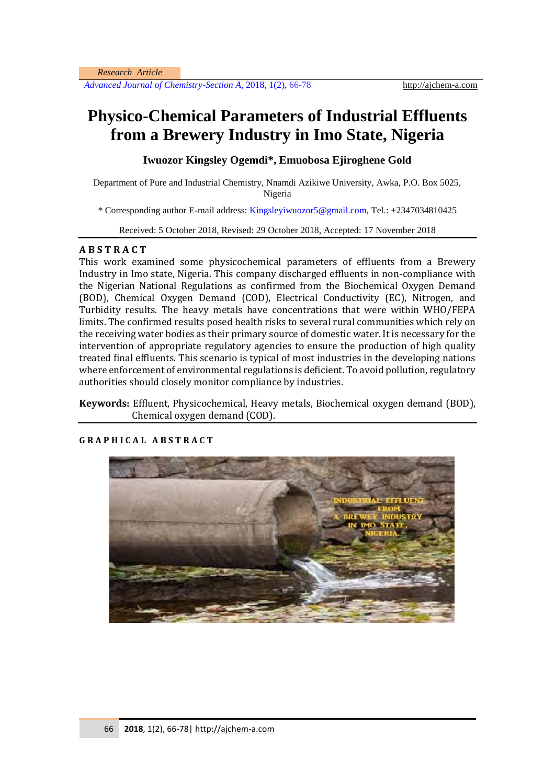*Advanced Journal of Chemistry-Section A, 2018, 1(2), 66-78* http://ajchem-a.com

# **Physico-Chemical Parameters of Industrial Effluents from a Brewery Industry in Imo State, Nigeria**

## **Iwuozor Kingsley Ogemdi\*, Emuobosa Ejiroghene Gold**

Department of Pure and Industrial Chemistry, Nnamdi Azikiwe University, Awka, P.O. Box 5025, Nigeria

\* Corresponding author E-mail address[: Kingsleyiwuozor5@gmail.com,](mailto:Kingsleyiwuozor5@gmail.com) Tel.: +2347034810425

Received: 5 October 2018, Revised: 29 October 2018, Accepted: 17 November 2018

## **A B S T R A C T**

This work examined some physicochemical parameters of effluents from a Brewery Industry in Imo state, Nigeria. This company discharged effluents in non-compliance with the Nigerian National Regulations as confirmed from the Biochemical Oxygen Demand (BOD), Chemical Oxygen Demand (COD), Electrical Conductivity (EC), Nitrogen, and Turbidity results. The heavy metals have concentrations that were within WHO/FEPA limits. The confirmed results posed health risks to several rural communities which rely on the receiving water bodies as their primary source of domestic water. It is necessary for the intervention of appropriate regulatory agencies to ensure the production of high quality treated final effluents. This scenario is typical of most industries in the developing nations where enforcement of environmental regulations is deficient. To avoid pollution, regulatory authorities should closely monitor compliance by industries.

**Keywords:** Effluent, Physicochemical, Heavy metals, Biochemical oxygen demand (BOD), Chemical oxygen demand (COD).



## **G R A P H I C A L A B S T R A C T**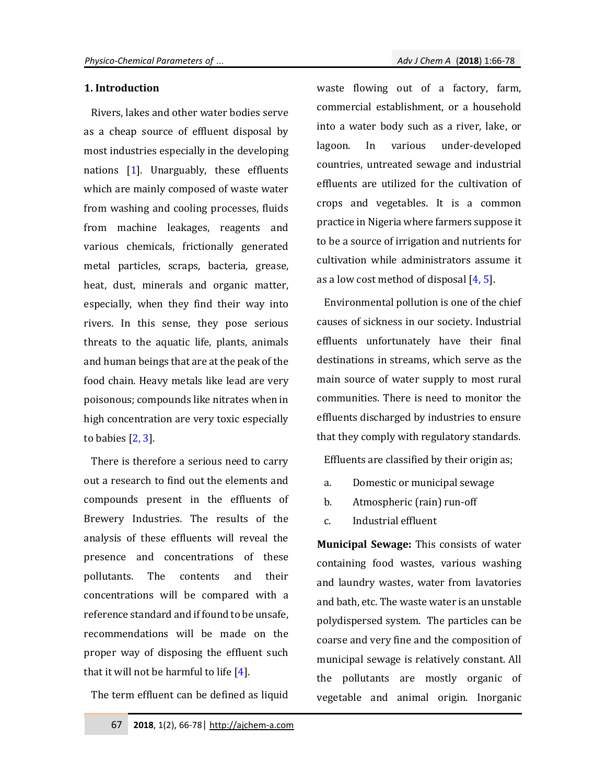#### **1. Introduction**

Rivers, lakes and other water bodies serve as a cheap source of effluent disposal by most industries especially in the developing nations [1]. Unarguably, these effluents which are mainly composed of waste water from washing and cooling processes, fluids from machine leakages, reagents and various chemicals, frictionally generated metal particles, scraps, bacteria, grease, heat, dust, minerals and organic matter, especially, when they find their way into rivers. In this sense, they pose serious threats to the aquatic life, plants, animals and human beings that are at the peak of the food chain. Heavy metals like lead are very poisonous; compounds like nitrates when in high concentration are very toxic especially to babies  $[2, 3]$ .

There is therefore a serious need to carry out a research to find out the elements and compounds present in the effluents of Brewery Industries. The results of the analysis of these effluents will reveal the presence and concentrations of these pollutants. The contents and their concentrations will be compared with a reference standard and if found to be unsafe, recommendations will be made on the proper way of disposing the effluent such that it will not be harmful to life [4].

The term effluent can be defined as liquid

waste flowing out of a factory, farm, commercial establishment, or a household into a water body such as a river, lake, or lagoon. In various under-developed countries, untreated sewage and industrial effluents are utilized for the cultivation of crops and vegetables. It is a common practice in Nigeria where farmers suppose it to be a source of irrigation and nutrients for cultivation while administrators assume it as a low cost method of disposal  $[4, 5]$ .

Environmental pollution is one of the chief causes of sickness in our society. Industrial effluents unfortunately have their final destinations in streams, which serve as the main source of water supply to most rural communities. There is need to monitor the effluents discharged by industries to ensure that they comply with regulatory standards.

Effluents are classified by their origin as;

- a. Domestic or municipal sewage
- b. Atmospheric (rain) run-off
- c. Industrial effluent

**Municipal Sewage:** This consists of water containing food wastes, various washing and laundry wastes, water from lavatories and bath, etc. The waste water is an unstable polydispersed system. The particles can be coarse and very fine and the composition of municipal sewage is relatively constant. All the pollutants are mostly organic of vegetable and animal origin. Inorganic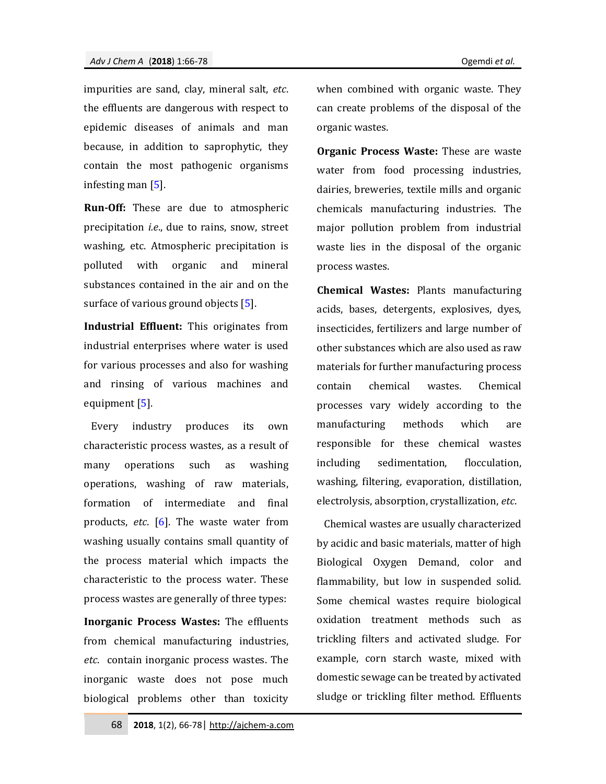impurities are sand, clay, mineral salt, *etc*. the effluents are dangerous with respect to epidemic diseases of animals and man because, in addition to saprophytic, they contain the most pathogenic organisms infesting man [5].

**Run-Off:** These are due to atmospheric precipitation *i.e*., due to rains, snow, street washing, etc. Atmospheric precipitation is polluted with organic and mineral substances contained in the air and on the surface of various ground objects [5].

**Industrial Effluent:** This originates from industrial enterprises where water is used for various processes and also for washing and rinsing of various machines and equipment [5].

Every industry produces its own characteristic process wastes, as a result of many operations such as washing operations, washing of raw materials, formation of intermediate and final products, *etc*. [6]. The waste water from washing usually contains small quantity of the process material which impacts the characteristic to the process water. These process wastes are generally of three types:

**Inorganic Process Wastes:** The effluents from chemical manufacturing industries, *etc*. contain inorganic process wastes. The inorganic waste does not pose much biological problems other than toxicity when combined with organic waste. They can create problems of the disposal of the organic wastes.

**Organic Process Waste:** These are waste water from food processing industries, dairies, breweries, textile mills and organic chemicals manufacturing industries. The major pollution problem from industrial waste lies in the disposal of the organic process wastes.

**Chemical Wastes:** Plants manufacturing acids, bases, detergents, explosives, dyes, insecticides, fertilizers and large number of other substances which are also used as raw materials for further manufacturing process contain chemical wastes. Chemical processes vary widely according to the manufacturing methods which are responsible for these chemical wastes including sedimentation, flocculation, washing, filtering, evaporation, distillation, electrolysis, absorption, crystallization, *etc*.

Chemical wastes are usually characterized by acidic and basic materials, matter of high Biological Oxygen Demand, color and flammability, but low in suspended solid. Some chemical wastes require biological oxidation treatment methods such as trickling filters and activated sludge. For example, corn starch waste, mixed with domestic sewage can be treated by activated sludge or trickling filter method. Effluents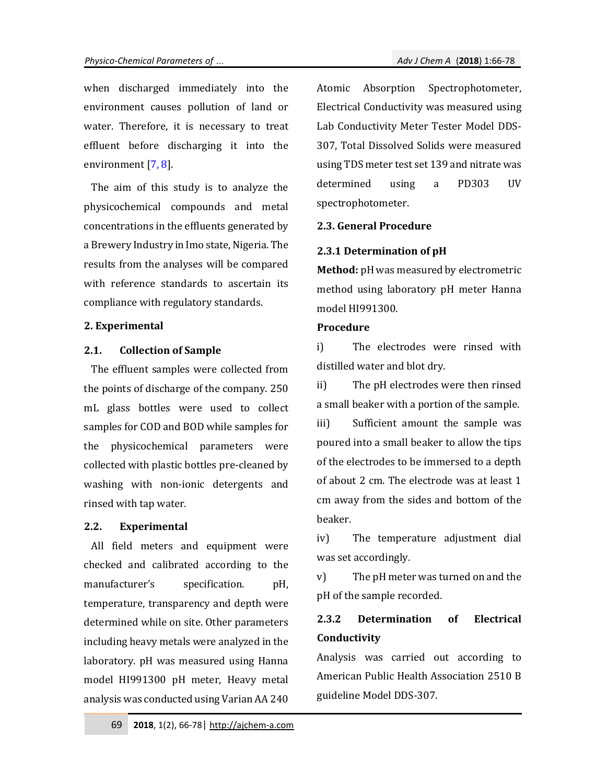when discharged immediately into the environment causes pollution of land or water. Therefore, it is necessary to treat effluent before discharging it into the environment [7, 8].

The aim of this study is to analyze the physicochemical compounds and metal concentrations in the effluents generated by a Brewery Industry in Imo state, Nigeria. The results from the analyses will be compared with reference standards to ascertain its compliance with regulatory standards.

## **2. Experimental**

#### **2.1. Collection of Sample**

The effluent samples were collected from the points of discharge of the company. 250 mL glass bottles were used to collect samples for COD and BOD while samples for the physicochemical parameters were collected with plastic bottles pre-cleaned by washing with non-ionic detergents and rinsed with tap water.

## **2.2. Experimental**

All field meters and equipment were checked and calibrated according to the manufacturer's specification. pH, temperature, transparency and depth were determined while on site. Other parameters including heavy metals were analyzed in the laboratory. pH was measured using Hanna model HI991300 pH meter, Heavy metal analysis was conducted using Varian AA 240 Atomic Absorption Spectrophotometer, Electrical Conductivity was measured using Lab Conductivity Meter Tester Model DDS-307, Total Dissolved Solids were measured using TDS meter test set 139 and nitrate was determined using a PD303 UV spectrophotometer.

## **2.3. General Procedure**

## **2.3.1 Determination of pH**

**Method:** pHwas measured by electrometric method using laboratory pH meter Hanna model HI991300.

### **Procedure**

i) The electrodes were rinsed with distilled water and blot dry.

ii) The pH electrodes were then rinsed a small beaker with a portion of the sample.

iii) Sufficient amount the sample was poured into a small beaker to allow the tips of the electrodes to be immersed to a depth of about 2 cm. The electrode was at least 1 cm away from the sides and bottom of the beaker.

iv) The temperature adjustment dial was set accordingly.

v) The pH meter was turned on and the pH of the sample recorded.

## **2.3.2 Determination of Electrical Conductivity**

Analysis was carried out according to American Public Health Association 2510 B guideline Model DDS-307.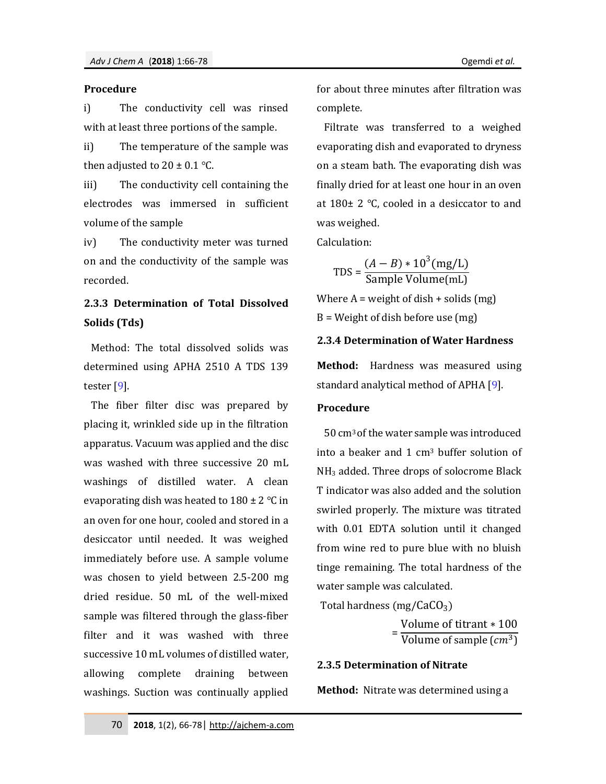#### **Procedure**

i) The conductivity cell was rinsed with at least three portions of the sample.

ii) The temperature of the sample was then adjusted to  $20 \pm 0.1$  °C.

iii) The conductivity cell containing the electrodes was immersed in sufficient volume of the sample

iv) The conductivity meter was turned on and the conductivity of the sample was recorded.

## **2.3.3 Determination of Total Dissolved Solids (Tds)**

Method: The total dissolved solids was determined using APHA 2510 A TDS 139 tester [9].

The fiber filter disc was prepared by placing it, wrinkled side up in the filtration apparatus. Vacuum was applied and the disc was washed with three successive 20 mL washings of distilled water. A clean evaporating dish was heated to  $180 \pm 2$  °C in an oven for one hour, cooled and stored in a desiccator until needed. It was weighed immediately before use. A sample volume was chosen to yield between 2.5-200 mg dried residue. 50 mL of the well-mixed sample was filtered through the glass-fiber filter and it was washed with three successive 10 mL volumes of distilled water, allowing complete draining between washings. Suction was continually applied for about three minutes after filtration was complete.

Filtrate was transferred to a weighed evaporating dish and evaporated to dryness on a steam bath. The evaporating dish was finally dried for at least one hour in an oven at  $180 \pm 2$  °C, cooled in a desiccator to and was weighed.

Calculation:

$$
TDS = \frac{(A - B) * 10^3 (mg/L)}{\text{Sample Volume}(mL)}
$$

Where  $A = weight of  $dist + solid$  (mg)$ 

B = Weight of dish before use (mg)

## **2.3.4 Determination of Water Hardness**

**Method:** Hardness was measured using standard analytical method of APHA [9].

## **Procedure**

50 cm3 of the water sample was introduced into a beaker and 1 cm<sup>3</sup> buffer solution of NH<sup>3</sup> added. Three drops of solocrome Black T indicator was also added and the solution swirled properly. The mixture was titrated with 0.01 EDTA solution until it changed from wine red to pure blue with no bluish tinge remaining. The total hardness of the water sample was calculated.

Total hardness (mg/ $CaCO<sub>3</sub>$ )

= Volume of titrant ∗ 100 Volume of sample  $(cm^3)$ 

## **2.3.5 Determination of Nitrate**

**Method:** Nitrate was determined using a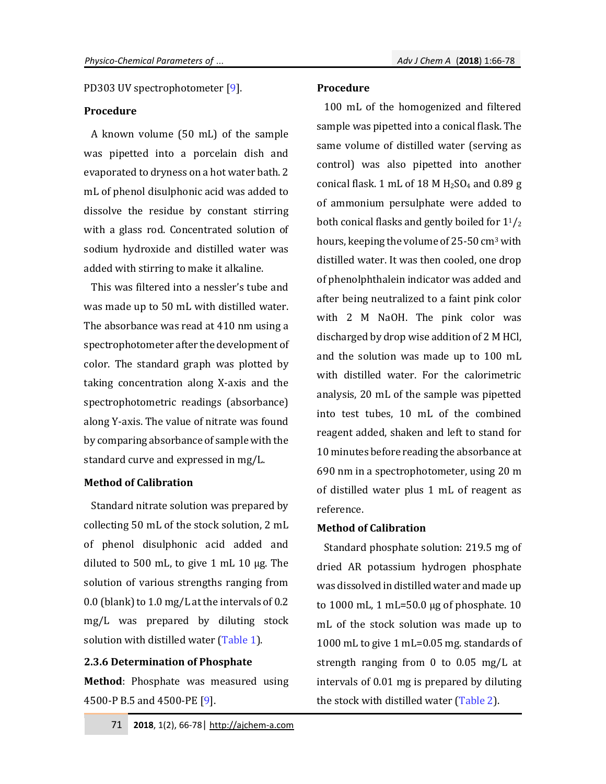PD303 UV spectrophotometer [9].

## **Procedure**

A known volume (50 mL) of the sample was pipetted into a porcelain dish and evaporated to dryness on a hot water bath. 2 mL of phenol disulphonic acid was added to dissolve the residue by constant stirring with a glass rod. Concentrated solution of sodium hydroxide and distilled water was added with stirring to make it alkaline.

This was filtered into a nessler's tube and was made up to 50 mL with distilled water. The absorbance was read at 410 nm using a spectrophotometer after the development of color. The standard graph was plotted by taking concentration along X-axis and the spectrophotometric readings (absorbance) along Y-axis. The value of nitrate was found by comparing absorbance of sample with the standard curve and expressed in mg/L.

#### **Method of Calibration**

Standard nitrate solution was prepared by collecting 50 mL of the stock solution, 2 mL of phenol disulphonic acid added and diluted to 500 mL, to give 1 mL 10 µg. The solution of various strengths ranging from 0.0 (blank) to 1.0 mg/L at the intervals of 0.2 mg/L was prepared by diluting stock solution with distilled water (Table 1).

#### **2.3.6 Determination of Phosphate**

**Method**: Phosphate was measured using 4500-P B.5 and 4500-PE [9].

### **Procedure**

100 mL of the homogenized and filtered sample was pipetted into a conical flask. The same volume of distilled water (serving as control) was also pipetted into another conical flask. 1 mL of 18 M  $H<sub>2</sub>SO<sub>4</sub>$  and 0.89 g of ammonium persulphate were added to both conical flasks and gently boiled for  $1\frac{1}{2}$ hours, keeping the volume of 25-50 cm<sup>3</sup> with distilled water. It was then cooled, one drop of phenolphthalein indicator was added and after being neutralized to a faint pink color with 2 M NaOH. The pink color was discharged by drop wise addition of 2 M HCl, and the solution was made up to 100 mL with distilled water. For the calorimetric analysis, 20 mL of the sample was pipetted into test tubes, 10 mL of the combined reagent added, shaken and left to stand for 10 minutes before reading the absorbance at 690 nm in a spectrophotometer, using 20 m of distilled water plus 1 mL of reagent as reference.

## **Method of Calibration**

 Standard phosphate solution: 219.5 mg of dried AR potassium hydrogen phosphate was dissolved in distilled water and made up to  $1000$  mL, 1 mL=50.0 µg of phosphate. 10 mL of the stock solution was made up to 1000 mL to give 1 mL=0.05 mg. standards of strength ranging from 0 to 0.05 mg/L at intervals of 0.01 mg is prepared by diluting the stock with distilled water (Table 2).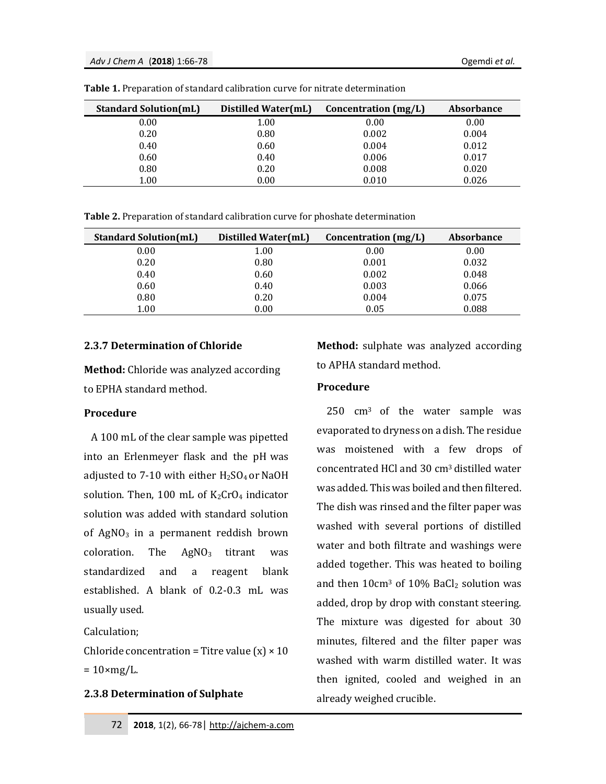| <b>Standard Solution(mL)</b> | Distilled Water(mL) | Concentration (mg/L) | <b>Absorbance</b> |
|------------------------------|---------------------|----------------------|-------------------|
| 0.00                         | 1.00                | 0.00                 | 0.00              |
| 0.20                         | 0.80                | 0.002                | 0.004             |
| 0.40                         | 0.60                | 0.004                | 0.012             |
| 0.60                         | 0.40                | 0.006                | 0.017             |
| 0.80                         | 0.20                | 0.008                | 0.020             |
| 1.00                         | 0.00                | 0.010                | 0.026             |

**Table 1.** Preparation of standard calibration curve for nitrate determination

**Table 2.** Preparation of standard calibration curve for phoshate determination

| <b>Standard Solution(mL)</b> | Distilled Water(mL) | Concentration $(mg/L)$ | <b>Absorbance</b> |
|------------------------------|---------------------|------------------------|-------------------|
| 0.00                         | 1.00                | 0.00                   | 0.00              |
| 0.20                         | 0.80                | 0.001                  | 0.032             |
| 0.40                         | 0.60                | 0.002                  | 0.048             |
| 0.60                         | 0.40                | 0.003                  | 0.066             |
| 0.80                         | 0.20                | 0.004                  | 0.075             |
| 1.00                         | 0.00                | 0.05                   | 0.088             |

## **2.3.7 Determination of Chloride**

**Method:** Chloride was analyzed according to EPHA standard method.

## **Procedure**

A 100 mL of the clear sample was pipetted into an Erlenmeyer flask and the pH was adjusted to 7-10 with either  $H<sub>2</sub>SO<sub>4</sub>$  or NaOH solution. Then, 100 mL of  $K_2CrO_4$  indicator solution was added with standard solution of  $AgNO<sub>3</sub>$  in a permanent reddish brown coloration. The  $AgNO<sub>3</sub>$  titrant was standardized and a reagent blank established. A blank of 0.2-0.3 mL was usually used.

Calculation;

Chloride concentration = Titre value  $(x) \times 10$  $= 10 \times mg/L$ .

## **2.3.8 Determination of Sulphate**

**Method:** sulphate was analyzed according to APHA standard method.

## **Procedure**

250 cm3 of the water sample was evaporated to dryness on a dish. The residue was moistened with a few drops of concentrated HCl and 30 cm3 distilled water was added. This was boiled and then filtered. The dish was rinsed and the filter paper was washed with several portions of distilled water and both filtrate and washings were added together. This was heated to boiling and then  $10 \text{cm}^3$  of  $10\%$  BaCl<sub>2</sub> solution was added, drop by drop with constant steering. The mixture was digested for about 30 minutes, filtered and the filter paper was washed with warm distilled water. It was then ignited, cooled and weighed in an already weighed crucible.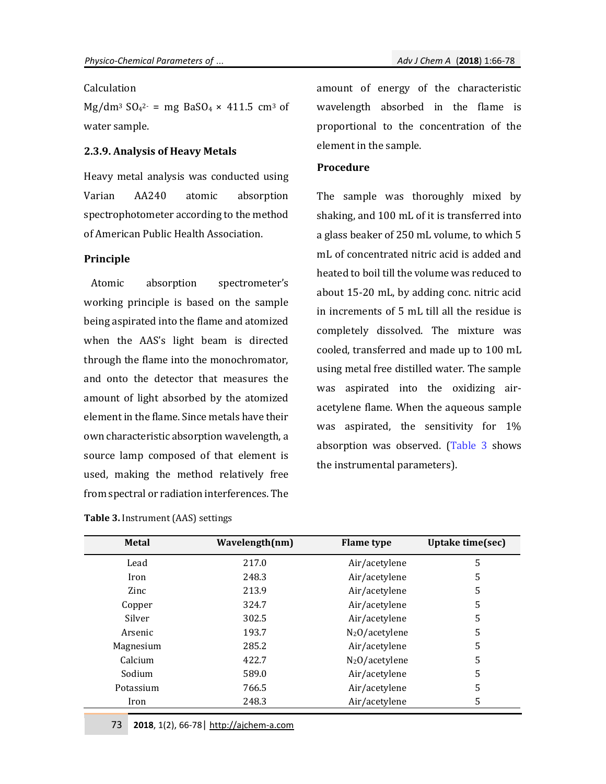## Calculation

 $Mg/dm^3$  SO<sub>4</sub><sup>2-</sup> = mg BaSO<sub>4</sub> × 411.5 cm<sup>3</sup> of water sample.

## **2.3.9. Analysis of Heavy Metals**

Heavy metal analysis was conducted using Varian AA240 atomic absorption spectrophotometer according to the method of American Public Health Association.

## **Principle**

Atomic absorption spectrometer's working principle is based on the sample being aspirated into the flame and atomized when the AAS's light beam is directed through the flame into the monochromator, and onto the detector that measures the amount of light absorbed by the atomized element in the flame. Since metals have their own characteristic absorption wavelength, a source lamp composed of that element is used, making the method relatively free from spectral or radiation interferences. The

**Table 3.** Instrument (AAS) settings

amount of energy of the characteristic wavelength absorbed in the flame is proportional to the concentration of the element in the sample.

#### **Procedure**

The sample was thoroughly mixed by shaking, and 100 mL of it is transferred into a glass beaker of 250 mL volume, to which 5 mL of concentrated nitric acid is added and heated to boil till the volume was reduced to about 15-20 mL, by adding conc. nitric acid in increments of 5 mL till all the residue is completely dissolved. The mixture was cooled, transferred and made up to 100 mL using metal free distilled water. The sample was aspirated into the oxidizing airacetylene flame. When the aqueous sample was aspirated, the sensitivity for 1% absorption was observed. (Table 3 shows the instrumental parameters).

| <b>Metal</b> | Wavelength(nm) | <b>Flame</b> type | Uptake time(sec) |
|--------------|----------------|-------------------|------------------|
| Lead         | 217.0          | Air/acetylene     | 5                |
| Iron         | 248.3          | Air/acetylene     | 5                |
| Zinc         | 213.9          | Air/acetylene     | 5                |
| Copper       | 324.7          | Air/acetylene     | 5                |
| Silver       | 302.5          | Air/acetylene     | 5                |
| Arsenic      | 193.7          | $N_2O/$ acetylene | 5                |
| Magnesium    | 285.2          | Air/acetylene     | 5                |
| Calcium      | 422.7          | $N_2O/$ acetylene | 5                |
| Sodium       | 589.0          | Air/acetylene     | 5                |
| Potassium    | 766.5          | Air/acetylene     | 5                |
| Iron         | 248.3          | Air/acetylene     | 5                |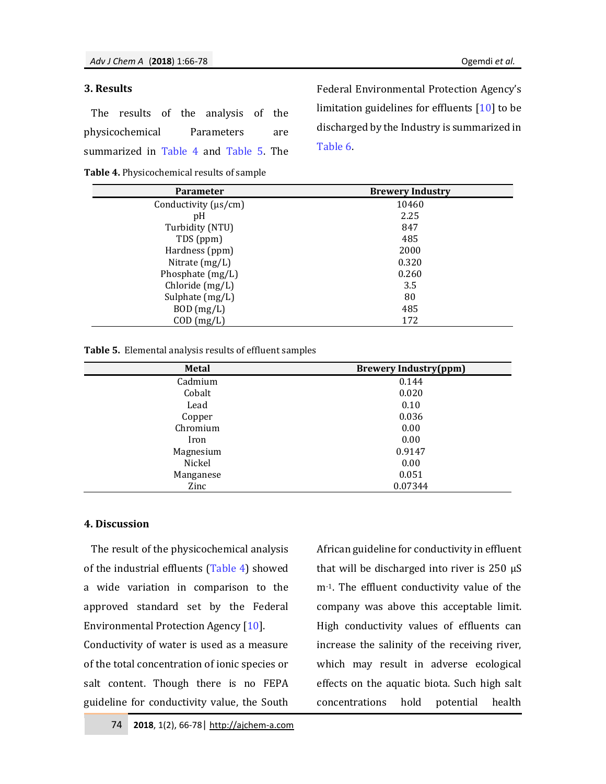#### **3. Results**

| The results of the analysis of the     |  |  |  |
|----------------------------------------|--|--|--|
| physicochemical Parameters are         |  |  |  |
| summarized in Table 4 and Table 5. The |  |  |  |

**Table 4.** Physicochemical results of sample

Federal Environmental Protection Agency's limitation guidelines for effluents [10] to be discharged by the Industry is summarized in Table 6.

| <b>Parameter</b>          | <b>Brewery Industry</b> |
|---------------------------|-------------------------|
| Conductivity $(\mu s/cm)$ | 10460                   |
| pH                        | 2.25                    |
| Turbidity (NTU)           | 847                     |
| TDS (ppm)                 | 485                     |
| Hardness (ppm)            | 2000                    |
| Nitrate $(mg/L)$          | 0.320                   |
| Phosphate (mg/L)          | 0.260                   |
| Chloride (mg/L)           | 3.5                     |
| Sulphate (mg/L)           | 80                      |
| $BOD$ (mg/L)              | 485                     |
| $COD$ (mg/L)              | 172                     |

| Table 5. Elemental analysis results of effluent samples |  |  |  |  |  |
|---------------------------------------------------------|--|--|--|--|--|
|---------------------------------------------------------|--|--|--|--|--|

| <b>Metal</b> | <b>Brewery Industry(ppm)</b> |
|--------------|------------------------------|
| Cadmium      | 0.144                        |
| Cobalt       | 0.020                        |
| Lead         | 0.10                         |
| Copper       | 0.036                        |
| Chromium     | 0.00                         |
| Iron         | 0.00                         |
| Magnesium    | 0.9147                       |
| Nickel       | 0.00                         |
| Manganese    | 0.051                        |
| Zinc         | 0.07344                      |

## **4. Discussion**

The result of the physicochemical analysis of the industrial effluents (Table 4) showed a wide variation in comparison to the approved standard set by the Federal Environmental Protection Agency [10]. Conductivity of water is used as a measure of the total concentration of ionic species or salt content. Though there is no FEPA guideline for conductivity value, the South

African guideline for conductivity in effluent that will be discharged into river is 250 µS m<sup>-1</sup>. The effluent conductivity value of the company was above this acceptable limit. High conductivity values of effluents can increase the salinity of the receiving river, which may result in adverse ecological effects on the aquatic biota. Such high salt concentrations hold potential health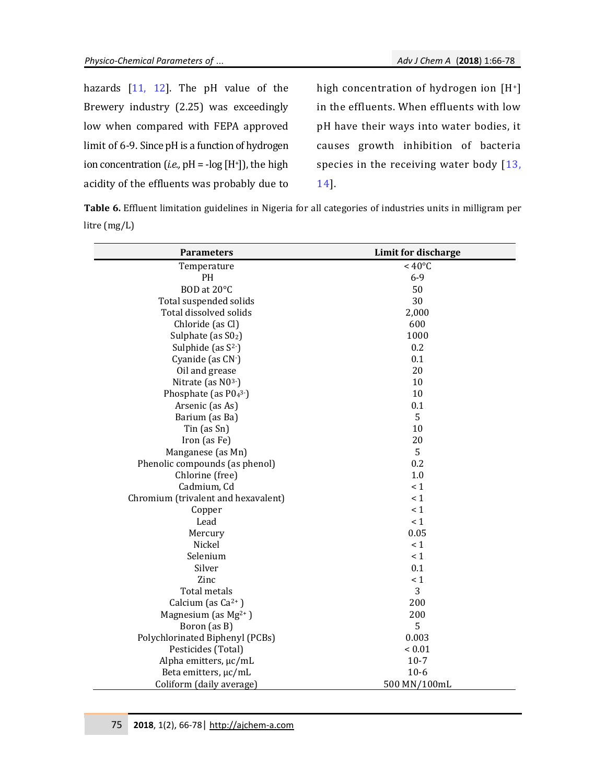| hazards $[11, 12]$ . The pH value of the                       |  |  |  |
|----------------------------------------------------------------|--|--|--|
| Brewery industry (2.25) was exceedingly                        |  |  |  |
| low when compared with FEPA approved                           |  |  |  |
| limit of 6-9. Since pH is a function of hydrogen               |  |  |  |
| ion concentration ( <i>i.e.</i> , $pH = -log[H^+]$ ), the high |  |  |  |
| acidity of the effluents was probably due to                   |  |  |  |

high concentration of hydrogen ion [H+] in the effluents. When effluents with low pH have their ways into water bodies, it causes growth inhibition of bacteria species in the receiving water body [13, 14].

**Table 6.** Effluent limitation guidelines in Nigeria for all categories of industries units in milligram per litre (mg/L)

| <b>Parameters</b>                   | Limit for discharge |
|-------------------------------------|---------------------|
| Temperature                         | $< 40^{\circ}$ C    |
| PH                                  | $6 - 9$             |
| BOD at 20°C                         | 50                  |
| Total suspended solids              | 30                  |
| Total dissolved solids              | 2,000               |
| Chloride (as Cl)                    | 600                 |
| Sulphate (as S02)                   | 1000                |
| Sulphide (as $S^2$ )                | 0.2                 |
| Cyanide (as CN-)                    | 0.1                 |
| Oil and grease                      | 20                  |
| Nitrate (as N03-)                   | 10                  |
| Phosphate (as $P04^3$ )             | 10                  |
| Arsenic (as As)                     | 0.1                 |
| Barium (as Ba)                      | 5                   |
| Tin (as Sn)                         | 10                  |
| Iron (as Fe)                        | 20                  |
| Manganese (as Mn)                   | 5                   |
| Phenolic compounds (as phenol)      | 0.2                 |
| Chlorine (free)                     | 1.0                 |
| Cadmium, Cd                         | $\leq 1$            |
| Chromium (trivalent and hexavalent) | $\leq 1$            |
| Copper                              | $\leq 1$            |
| Lead                                | $\leq 1$            |
| Mercury                             | 0.05                |
| Nickel                              | < 1                 |
| Selenium                            | $\leq 1$            |
| Silver                              | 0.1                 |
| Zinc                                | $\leq 1$            |
| Total metals                        | 3                   |
| Calcium (as $Ca^{2+}$ )             | 200                 |
| Magnesium (as $Mg^{2+}$ )           | 200                 |
| Boron (as B)                        | 5                   |
| Polychlorinated Biphenyl (PCBs)     | 0.003               |
| Pesticides (Total)                  | ${}< 0.01$          |
| Alpha emitters, µc/mL               | $10 - 7$            |
| Beta emitters, µc/mL                | $10-6$              |
| Coliform (daily average)            | 500 MN/100mL        |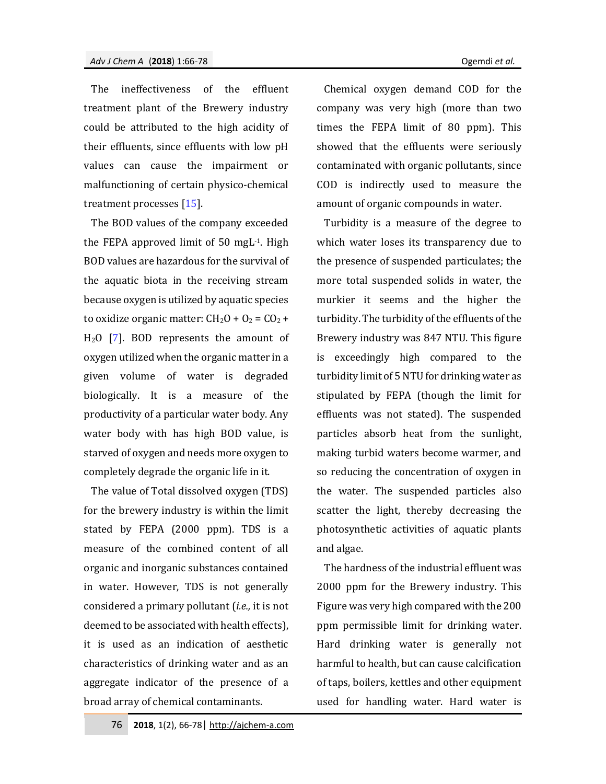The ineffectiveness of the effluent treatment plant of the Brewery industry could be attributed to the high acidity of their effluents, since effluents with low pH values can cause the impairment or malfunctioning of certain physico-chemical treatment processes [15].

The BOD values of the company exceeded the FEPA approved limit of 50 mgL-1. High BOD values are hazardous for the survival of the aquatic biota in the receiving stream because oxygen is utilized by aquatic species to oxidize organic matter:  $CH<sub>2</sub>O + O<sub>2</sub> = CO<sub>2</sub> +$  $H<sub>2</sub>O$  [7]. BOD represents the amount of oxygen utilized when the organic matter in a given volume of water is degraded biologically. It is a measure of the productivity of a particular water body. Any water body with has high BOD value, is starved of oxygen and needs more oxygen to completely degrade the organic life in it.

The value of Total dissolved oxygen (TDS) for the brewery industry is within the limit stated by FEPA (2000 ppm). TDS is a measure of the combined content of all organic and inorganic substances contained in water. However, TDS is not generally considered a primary pollutant (*i.e.,* it is not deemed to be associated with health effects), it is used as an indication of aesthetic characteristics of drinking water and as an aggregate indicator of the presence of a broad array of chemical contaminants.

Chemical oxygen demand COD for the company was very high (more than two times the FEPA limit of 80 ppm). This showed that the effluents were seriously contaminated with organic pollutants, since COD is indirectly used to measure the amount of organic compounds in water.

Turbidity is a measure of the degree to which water loses its transparency due to the presence of suspended particulates; the more total suspended solids in water, the murkier it seems and the higher the turbidity. The turbidity of the effluents of the Brewery industry was 847 NTU. This figure is exceedingly high compared to the turbidity limit of 5 NTU for drinking water as stipulated by FEPA (though the limit for effluents was not stated). The suspended particles absorb heat from the sunlight, making turbid waters become warmer, and so reducing the concentration of oxygen in the water. The suspended particles also scatter the light, thereby decreasing the photosynthetic activities of aquatic plants and algae.

The hardness of the industrial effluent was 2000 ppm for the Brewery industry. This Figure was very high compared with the 200 ppm permissible limit for drinking water. Hard drinking water is generally not harmful to health, but can cause calcification of taps, boilers, kettles and other equipment used for handling water. Hard water is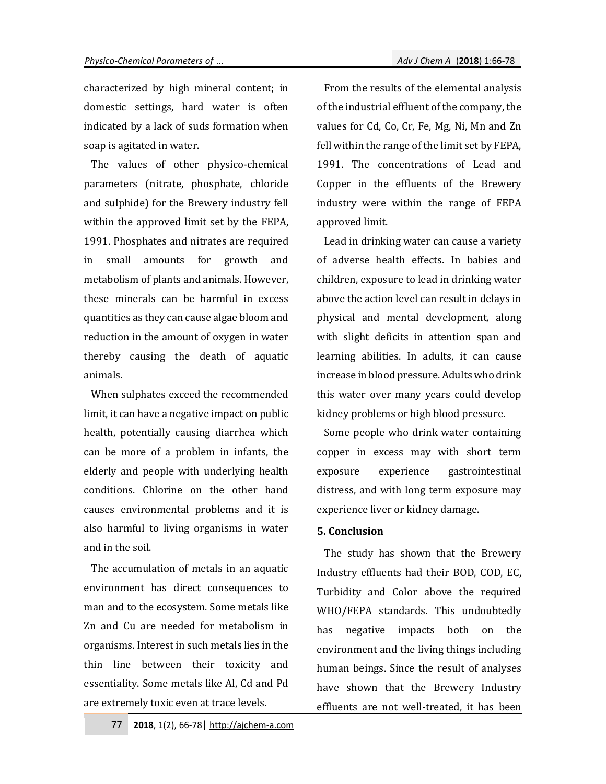characterized by high mineral content; in domestic settings, hard water is often indicated by a lack of suds formation when soap is agitated in water.

The values of other physico-chemical parameters (nitrate, phosphate, chloride and sulphide) for the Brewery industry fell within the approved limit set by the FEPA, 1991. Phosphates and nitrates are required in small amounts for growth and metabolism of plants and animals. However, these minerals can be harmful in excess quantities as they can cause algae bloom and reduction in the amount of oxygen in water thereby causing the death of aquatic animals.

When sulphates exceed the recommended limit, it can have a negative impact on public health, potentially causing diarrhea which can be more of a problem in infants, the elderly and people with underlying health conditions. Chlorine on the other hand causes environmental problems and it is also harmful to living organisms in water and in the soil.

The accumulation of metals in an aquatic environment has direct consequences to man and to the ecosystem. Some metals like Zn and Cu are needed for metabolism in organisms. Interest in such metals lies in the thin line between their toxicity and essentiality. Some metals like Al, Cd and Pd are extremely toxic even at trace levels.

From the results of the elemental analysis of the industrial effluent of the company, the values for Cd, Co, Cr, Fe, Mg, Ni, Mn and Zn fell within the range of the limit set by FEPA, 1991. The concentrations of Lead and Copper in the effluents of the Brewery industry were within the range of FEPA approved limit.

Lead in drinking water can cause a variety of adverse health effects. In babies and children, exposure to lead in drinking water above the action level can result in delays in physical and mental development, along with slight deficits in attention span and learning abilities. In adults, it can cause increase in blood pressure. Adults who drink this water over many years could develop kidney problems or high blood pressure.

Some people who drink water containing copper in excess may with short term exposure experience gastrointestinal distress, and with long term exposure may experience liver or kidney damage.

## **5. Conclusion**

The study has shown that the Brewery Industry effluents had their BOD, COD, EC, Turbidity and Color above the required WHO/FEPA standards. This undoubtedly has negative impacts both on the environment and the living things including human beings. Since the result of analyses have shown that the Brewery Industry effluents are not well-treated, it has been